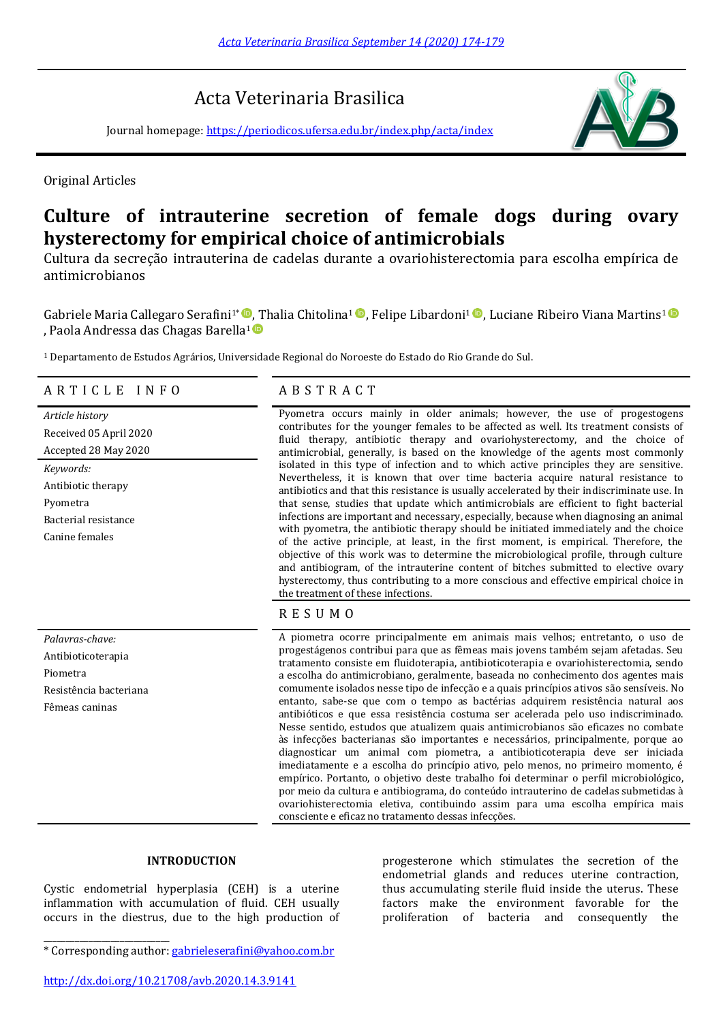# Acta Veterinaria Brasilica

Journal homepage:<https://periodicos.ufersa.edu.br/index.php/acta/index>



Original Articles

# **Culture of intrauterine secretion of female dogs during ovary hysterectomy for empirical choice of antimicrobials**

Cultura da secreção intrauterina de cadelas durante a ovariohisterectomia para escolha empírica de antimicrobianos

GabrieleMaria Callegaro Serafini<sup>1\*</sup> <sup>®</sup>, Thalia Chitolina<sup>1</sup> ®, Felipe Libardoni<sup>1</sup> ®, Luciane Ribeiro Viana Martins<sup>1</sup> , Paola Andressa das Chagas Barella<sup>1</sup>

<sup>1</sup> Departamento de Estudos Agrários, Universidade Regional do Noroeste do Estado do Rio Grande do Sul.

# A R T I C L E I N F O A B S T R A C T

Received 05 April 2020 Accepted 28 May 2020 *Keywords:* Antibiotic therapy Pyometra Bacterial resistance Canine females

Antibioticoterapia Piometra Resistência bacteriana Fêmeas caninas

\_\_\_\_\_\_\_\_\_\_\_\_\_\_\_\_\_\_\_\_\_\_\_\_\_\_\_\_

*Article history* Pyometra occurs mainly in older animals; however, the use of progestogens contributes for the younger females to be affected as well. Its treatment consists of fluid therapy, antibiotic therapy and ovariohysterectomy, and the choice of antimicrobial, generally, is based on the knowledge of the agents most commonly isolated in this type of infection and to which active principles they are sensitive. Nevertheless, it is known that over time bacteria acquire natural resistance to antibiotics and that this resistance is usually accelerated by their indiscriminate use. In that sense, studies that update which antimicrobials are efficient to fight bacterial infections are important and necessary, especially, because when diagnosing an animal with pyometra, the antibiotic therapy should be initiated immediately and the choice of the active principle, at least, in the first moment, is empirical. Therefore, the objective of this work was to determine the microbiological profile, through culture and antibiogram, of the intrauterine content of bitches submitted to elective ovary hysterectomy, thus contributing to a more conscious and effective empirical choice in the treatment of these infections.

R E S U M O

Palavras-chave: A piometra ocorre principalmente em animais mais velhos; entretanto, o uso de progestágenos contribui para que as fêmeas mais jovens também sejam afetadas. Seu tratamento consiste em fluidoterapia, antibioticoterapia e ovariohisterectomia, sendo a escolha do antimicrobiano, geralmente, baseada no conhecimento dos agentes mais comumente isolados nesse tipo de infecção e a quais princípios ativos são sensíveis. No entanto, sabe-se que com o tempo as bactérias adquirem resistência natural aos antibióticos e que essa resistência costuma ser acelerada pelo uso indiscriminado. Nesse sentido, estudos que atualizem quais antimicrobianos são eficazes no combate às infecções bacterianas são importantes e necessários, principalmente, porque ao diagnosticar um animal com piometra, a antibioticoterapia deve ser iniciada imediatamente e a escolha do princípio ativo, pelo menos, no primeiro momento, é empírico. Portanto, o objetivo deste trabalho foi determinar o perfil microbiológico, por meio da cultura e antibiograma, do conteúdo intrauterino de cadelas submetidas à ovariohisterectomia eletiva, contibuindo assim para uma escolha empírica mais consciente e eficaz no tratamento dessas infecções.

# **INTRODUCTION**

Cystic endometrial hyperplasia (CEH) is a uterine inflammation with accumulation of fluid. CEH usually occurs in the diestrus, due to the high production of

\* Corresponding author: [gabrieleserafini@yahoo.com.br](mailto:gabrieleserafini@yahoo.com.br)

progesterone which stimulates the secretion of the endometrial glands and reduces uterine contraction, thus accumulating sterile fluid inside the uterus. These factors make the environment favorable for the proliferation of bacteria and consequently the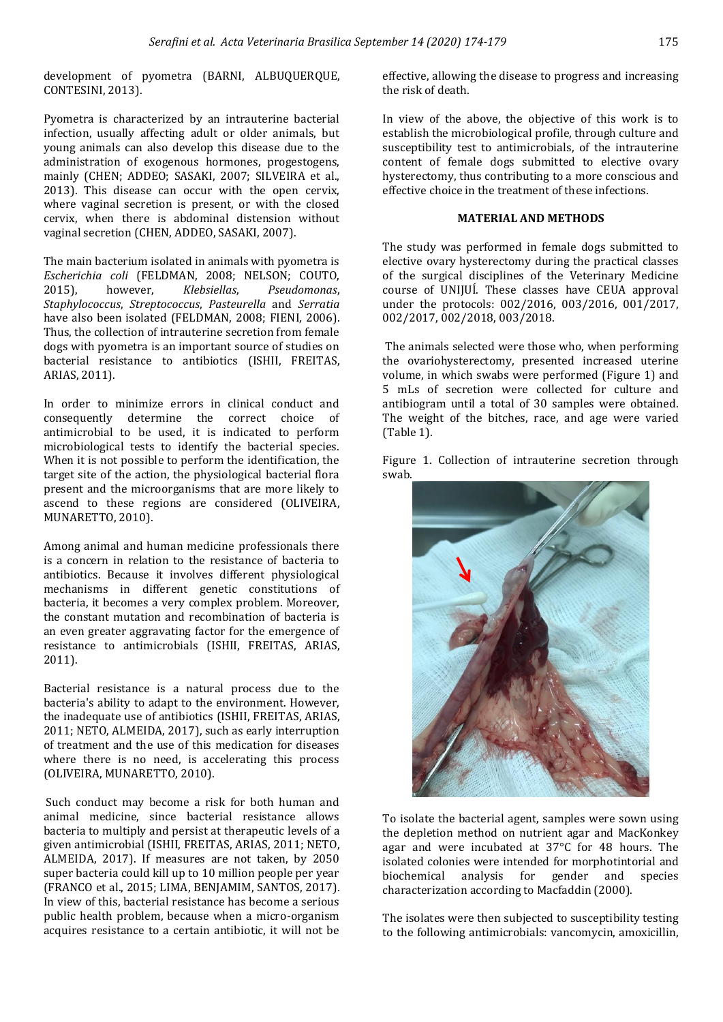development of pyometra (BARNI, ALBUQUERQUE, CONTESINI, 2013).

Pyometra is characterized by an intrauterine bacterial infection, usually affecting adult or older animals, but young animals can also develop this disease due to the administration of exogenous hormones, progestogens, mainly (CHEN; ADDEO; SASAKI, 2007; SILVEIRA et al., 2013). This disease can occur with the open cervix, where vaginal secretion is present, or with the closed cervix, when there is abdominal distension without vaginal secretion (CHEN, ADDEO, SASAKI, 2007).

The main bacterium isolated in animals with pyometra is *Escherichia coli* (FELDMAN, 2008; NELSON; COUTO, 2015), however, *Klebsiellas*, *Pseudomonas*, *Staphylococcus*, *Streptococcus*, *Pasteurella* and *Serratia* have also been isolated (FELDMAN, 2008; FIENI, 2006). Thus, the collection of intrauterine secretion from female dogs with pyometra is an important source of studies on bacterial resistance to antibiotics (ISHII, FREITAS, ARIAS, 2011).

In order to minimize errors in clinical conduct and consequently determine the correct choice of antimicrobial to be used, it is indicated to perform microbiological tests to identify the bacterial species. When it is not possible to perform the identification, the target site of the action, the physiological bacterial flora present and the microorganisms that are more likely to ascend to these regions are considered (OLIVEIRA, MUNARETTO, 2010).

Among animal and human medicine professionals there is a concern in relation to the resistance of bacteria to antibiotics. Because it involves different physiological mechanisms in different genetic constitutions of bacteria, it becomes a very complex problem. Moreover, the constant mutation and recombination of bacteria is an even greater aggravating factor for the emergence of resistance to antimicrobials (ISHII, FREITAS, ARIAS, 2011).

Bacterial resistance is a natural process due to the bacteria's ability to adapt to the environment. However, the inadequate use of antibiotics (ISHII, FREITAS, ARIAS, 2011; NETO, ALMEIDA, 2017), such as early interruption of treatment and the use of this medication for diseases where there is no need, is accelerating this process (OLIVEIRA, MUNARETTO, 2010).

Such conduct may become a risk for both human and animal medicine, since bacterial resistance allows bacteria to multiply and persist at therapeutic levels of a given antimicrobial (ISHII, FREITAS, ARIAS, 2011; NETO, ALMEIDA, 2017). If measures are not taken, by 2050 super bacteria could kill up to 10 million people per year (FRANCO et al., 2015; LIMA, BENJAMIM, SANTOS, 2017). In view of this, bacterial resistance has become a serious public health problem, because when a micro-organism acquires resistance to a certain antibiotic, it will not be

effective, allowing the disease to progress and increasing the risk of death.

In view of the above, the objective of this work is to establish the microbiological profile, through culture and susceptibility test to antimicrobials, of the intrauterine content of female dogs submitted to elective ovary hysterectomy, thus contributing to a more conscious and effective choice in the treatment of these infections.

## **MATERIAL AND METHODS**

The study was performed in female dogs submitted to elective ovary hysterectomy during the practical classes of the surgical disciplines of the Veterinary Medicine course of UNIJUÍ. These classes have CEUA approval under the protocols: 002/2016, 003/2016, 001/2017, 002/2017, 002/2018, 003/2018.

The animals selected were those who, when performing the ovariohysterectomy, presented increased uterine volume, in which swabs were performed (Figure 1) and 5 mLs of secretion were collected for culture and antibiogram until a total of 30 samples were obtained. The weight of the bitches, race, and age were varied (Table 1).

Figure 1. Collection of intrauterine secretion through swab.



To isolate the bacterial agent, samples were sown using the depletion method on nutrient agar and MacKonkey agar and were incubated at 37°C for 48 hours. The isolated colonies were intended for morphotintorial and biochemical analysis for gender and species characterization according to Macfaddin (2000).

The isolates were then subjected to susceptibility testing to the following antimicrobials: vancomycin, amoxicillin,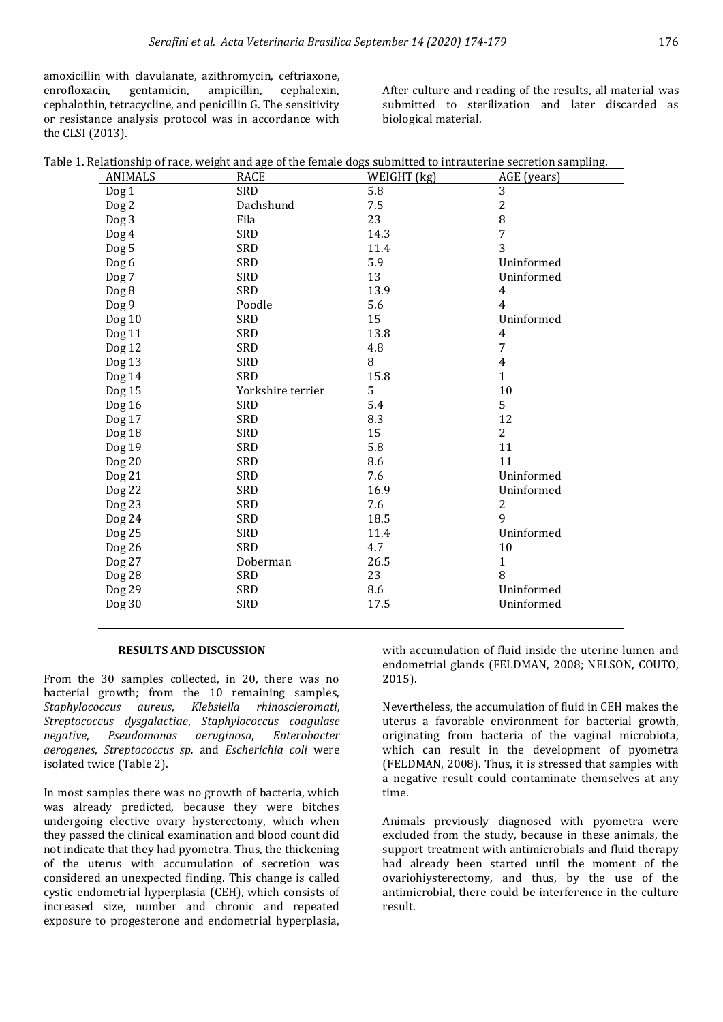amoxicillin with clavulanate, azithromycin, ceftriaxone, enrofloxacin, gentamicin, ampicillin, cephalexin, cephalothin, tetracycline, and penicillin G. The sensitivity or resistance analysis protocol was in accordance with the CLSI (2013).

After culture and reading of the results, all material was submitted to sterilization and later discarded as biological material.

|                  | Table 1. Relationship of race, weight and age of the female dogs submitted to intrauterine secretion sampling. |             |                |
|------------------|----------------------------------------------------------------------------------------------------------------|-------------|----------------|
| <b>ANIMALS</b>   | <b>RACE</b>                                                                                                    | WEIGHT (kg) | AGE (years)    |
| Dog <sub>1</sub> | SRD                                                                                                            | 5.8         | 3              |
| $\log 2$         | Dachshund                                                                                                      | 7.5         | $\overline{c}$ |
| Dog 3            | Fila                                                                                                           | 23          | 8              |
| Dog 4            | <b>SRD</b>                                                                                                     | 14.3        | 7              |
| Dog 5            | SRD                                                                                                            | 11.4        | 3              |
| Dog 6            | <b>SRD</b>                                                                                                     | 5.9         | Uninformed     |
| Dog 7            | <b>SRD</b>                                                                                                     | 13          | Uninformed     |
| Dog 8            | <b>SRD</b>                                                                                                     | 13.9        | $\overline{4}$ |
| Dog 9            | Poodle                                                                                                         | 5.6         | 4              |
| Dog 10           | <b>SRD</b>                                                                                                     | 15          | Uninformed     |
| Dog 11           | <b>SRD</b>                                                                                                     | 13.8        | 4              |
| Dog 12           | <b>SRD</b>                                                                                                     | 4.8         | 7              |
| Dog 13           | SRD                                                                                                            | 8           | 4              |
| Dog 14           | <b>SRD</b>                                                                                                     | 15.8        | $\mathbf{1}$   |
| Dog 15           | Yorkshire terrier                                                                                              | 5           | 10             |
| Dog 16           | SRD                                                                                                            | 5.4         | 5              |
| Dog 17           | SRD                                                                                                            | 8.3         | 12             |
| <b>Dog 18</b>    | SRD                                                                                                            | 15          | $\overline{2}$ |
| Dog 19           | <b>SRD</b>                                                                                                     | 5.8         | 11             |
| Dog 20           | <b>SRD</b>                                                                                                     | 8.6         | 11             |
| Dog 21           | SRD                                                                                                            | 7.6         | Uninformed     |
| Dog 22           | <b>SRD</b>                                                                                                     | 16.9        | Uninformed     |
| Dog 23           | <b>SRD</b>                                                                                                     | 7.6         | 2              |
| Dog 24           | <b>SRD</b>                                                                                                     | 18.5        | 9              |
| Dog 25           | <b>SRD</b>                                                                                                     | 11.4        | Uninformed     |
| Dog 26           | <b>SRD</b>                                                                                                     | 4.7         | 10             |
| Dog 27           | Doberman                                                                                                       | 26.5        | $\mathbf{1}$   |
| Dog 28           | <b>SRD</b>                                                                                                     | 23          | 8              |
| Dog 29           | SRD                                                                                                            | 8.6         | Uninformed     |
| Dog 30           | SRD                                                                                                            | 17.5        | Uninformed     |
|                  |                                                                                                                |             |                |

#### **RESULTS AND DISCUSSION**

From the 30 samples collected, in 20, there was no bacterial growth; from the 10 remaining samples, *Staphylococcus aureus*, *Klebsiella rhinoscleromati*, *Streptococcus dysgalactiae*, *Staphylococcus coagulase negative*, *Pseudomonas aeruginosa*, *Enterobacter aerogenes*, *Streptococcus sp.* and *Escherichia coli* were isolated twice (Table 2).

In most samples there was no growth of bacteria, which was already predicted, because they were bitches undergoing elective ovary hysterectomy, which when they passed the clinical examination and blood count did not indicate that they had pyometra. Thus, the thickening of the uterus with accumulation of secretion was considered an unexpected finding. This change is called cystic endometrial hyperplasia (CEH), which consists of increased size, number and chronic and repeated exposure to progesterone and endometrial hyperplasia,

with accumulation of fluid inside the uterine lumen and endometrial glands (FELDMAN, 2008; NELSON, COUTO, 2015).

Nevertheless, the accumulation of fluid in CEH makes the uterus a favorable environment for bacterial growth, originating from bacteria of the vaginal microbiota, which can result in the development of pyometra (FELDMAN, 2008). Thus, it is stressed that samples with a negative result could contaminate themselves at any time.

Animals previously diagnosed with pyometra were excluded from the study, because in these animals, the support treatment with antimicrobials and fluid therapy had already been started until the moment of the ovariohiysterectomy, and thus, by the use of the antimicrobial, there could be interference in the culture result.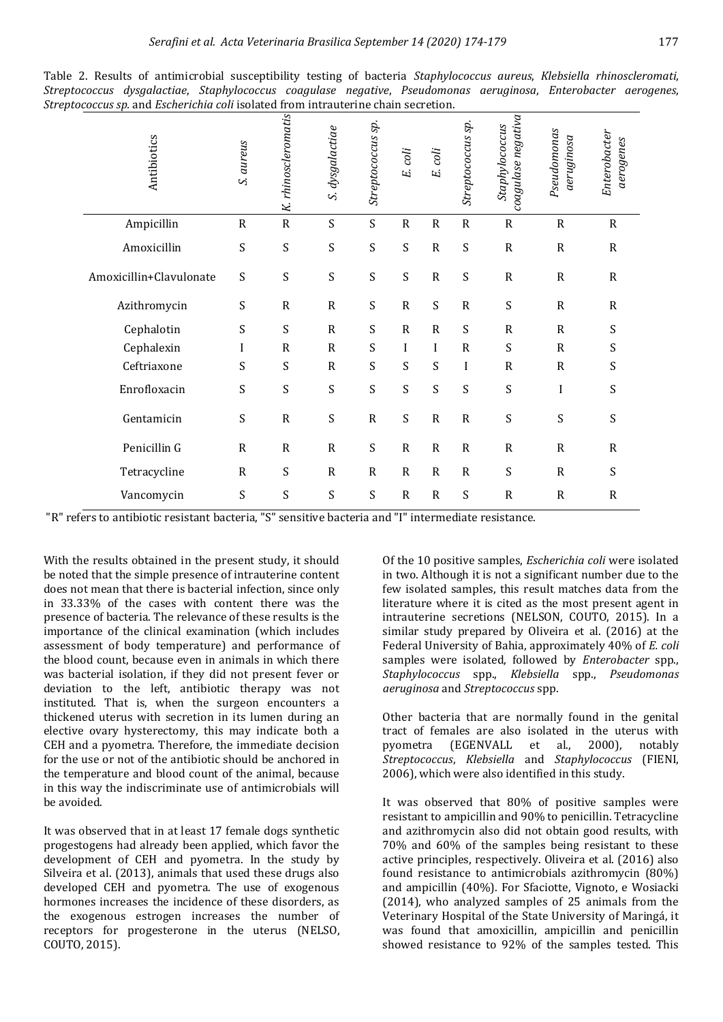| Antibiotics             | S. aureus                 | K. rhinoscleromatis | S. dysgalactiae | Streptococcus sp.         | E. coli     | E. coli                   | Streptococcus sp.         | coagulase negativa<br>Staphylococcus | Pseudomonas<br>aeruginosa | Enterobacter<br>aerogenes |
|-------------------------|---------------------------|---------------------|-----------------|---------------------------|-------------|---------------------------|---------------------------|--------------------------------------|---------------------------|---------------------------|
| Ampicillin              | ${\sf R}$                 | ${\sf R}$           | $\mathbf S$     | S                         | ${\bf R}$   | ${\sf R}$                 | ${\sf R}$                 | $\mathbf R$                          | ${\sf R}$                 | $\mathsf R$               |
| Amoxicillin             | $\mathbf S$               | S                   | S               | S                         | S           | ${\sf R}$                 | $\boldsymbol{\mathsf{S}}$ | ${\sf R}$                            | ${\sf R}$                 | $\mathsf R$               |
| Amoxicillin+Clavulonate | $\mathbf S$               | S                   | S               | $\mathbf S$               | S           | ${\sf R}$                 | $\mathbf S$               | ${\sf R}$                            | ${\sf R}$                 | $\mathsf{R}$              |
| Azithromycin            | S                         | $\mathbf R$         | $\mathbf R$     | $\boldsymbol{\mathsf{S}}$ | ${\bf R}$   | $\boldsymbol{\mathsf{S}}$ | ${\sf R}$                 | S                                    | ${\sf R}$                 | $\mathsf{R}$              |
| Cephalotin              | $\mathbf S$               | $\mathbf S$         | ${\sf R}$       | S                         | ${\bf R}$   | ${\sf R}$                 | $\boldsymbol{\mathsf{S}}$ | $\mathbf R$                          | $\mathsf R$               | S                         |
| Cephalexin              | I                         | $\,$ R              | $\mathbf R$     | S                         | I           | I                         | $\mathbf R$               | S                                    | ${\sf R}$                 | S                         |
| Ceftriaxone             | S                         | S                   | ${\sf R}$       | S                         | S           | $\boldsymbol{\mathsf{S}}$ | I                         | $\mathsf{R}$                         | $\mathsf{R}$              | S                         |
| Enrofloxacin            | $\boldsymbol{\mathsf{S}}$ | S                   | $\mathbf S$     | S                         | S           | $\boldsymbol{\mathsf{S}}$ | $\mathbf S$               | S                                    | $\bf I$                   | S                         |
| Gentamicin              | $\mathbf S$               | ${\sf R}$           | S               | ${\sf R}$                 | S           | $\mathbf R$               | ${\sf R}$                 | S                                    | S                         | S                         |
| Penicillin G            | ${\sf R}$                 | ${\sf R}$           | ${\sf R}$       | S                         | ${\bf R}$   | ${\bf R}$                 | ${\sf R}$                 | $\mathbf R$                          | $\mathbf R$               | ${\bf R}$                 |
| Tetracycline            | ${\sf R}$                 | S                   | ${\sf R}$       | $\mathsf{R}$              | $\mathbf R$ | $\mathsf{R}$              | ${\sf R}$                 | S                                    | $\mathsf{R}$              | S                         |
| Vancomycin              | S                         | S                   | S               | $\boldsymbol{\mathsf{S}}$ | ${\sf R}$   | ${\sf R}$                 | S                         | $\mathsf{R}$                         | ${\sf R}$                 | $\mathsf{R}$              |

|                                                                                                  |  | Table 2. Results of antimicrobial susceptibility testing of bacteria Staphylococcus aureus, Klebsiella rhinoscleromati, |  |  |  |  |  |  |  |  |
|--------------------------------------------------------------------------------------------------|--|-------------------------------------------------------------------------------------------------------------------------|--|--|--|--|--|--|--|--|
|                                                                                                  |  | Streptococcus dysgalactiae, Staphylococcus coagulase negative, Pseudomonas aeruginosa, Enterobacter aerogenes,          |  |  |  |  |  |  |  |  |
| <i>Streptococcus sp.</i> and <i>Escherichia coli</i> isolated from intrauterine chain secretion. |  |                                                                                                                         |  |  |  |  |  |  |  |  |

"R" refers to antibiotic resistant bacteria, "S" sensitive bacteria and "I" intermediate resistance.

With the results obtained in the present study, it should be noted that the simple presence of intrauterine content does not mean that there is bacterial infection, since only in 33.33% of the cases with content there was the presence of bacteria. The relevance of these results is the importance of the clinical examination (which includes assessment of body temperature) and performance of the blood count, because even in animals in which there was bacterial isolation, if they did not present fever or deviation to the left, antibiotic therapy was not instituted. That is, when the surgeon encounters a thickened uterus with secretion in its lumen during an elective ovary hysterectomy, this may indicate both a CEH and a pyometra. Therefore, the immediate decision for the use or not of the antibiotic should be anchored in the temperature and blood count of the animal, because in this way the indiscriminate use of antimicrobials will be avoided.

It was observed that in at least 17 female dogs synthetic progestogens had already been applied, which favor the development of CEH and pyometra. In the study by Silveira et al. (2013), animals that used these drugs also developed CEH and pyometra. The use of exogenous hormones increases the incidence of these disorders, as the exogenous estrogen increases the number of receptors for progesterone in the uterus (NELSO, COUTO, 2015).

Of the 10 positive samples, *Escherichia coli* were isolated in two. Although it is not a significant number due to the few isolated samples, this result matches data from the literature where it is cited as the most present agent in intrauterine secretions (NELSON, COUTO, 2015). In a similar study prepared by Oliveira et al. (2016) at the Federal University of Bahia, approximately 40% of *E. coli* samples were isolated, followed by *Enterobacter* spp., *Staphylococcus* spp., *Klebsiella* spp., *Pseudomonas aeruginosa* and *Streptococcus* spp.

Other bacteria that are normally found in the genital tract of females are also isolated in the uterus with pyometra (EGENVALL et al., 2000), notably *Streptococcus*, *Klebsiella* and *Staphylococcus* (FIENI, 2006), which were also identified in this study.

It was observed that 80% of positive samples were resistant to ampicillin and 90% to penicillin. Tetracycline and azithromycin also did not obtain good results, with 70% and 60% of the samples being resistant to these active principles, respectively. Oliveira et al. (2016) also found resistance to antimicrobials azithromycin (80%) and ampicillin (40%). For Sfaciotte, Vignoto, e Wosiacki (2014), who analyzed samples of 25 animals from the Veterinary Hospital of the State University of Maringá, it was found that amoxicillin, ampicillin and penicillin showed resistance to 92% of the samples tested. This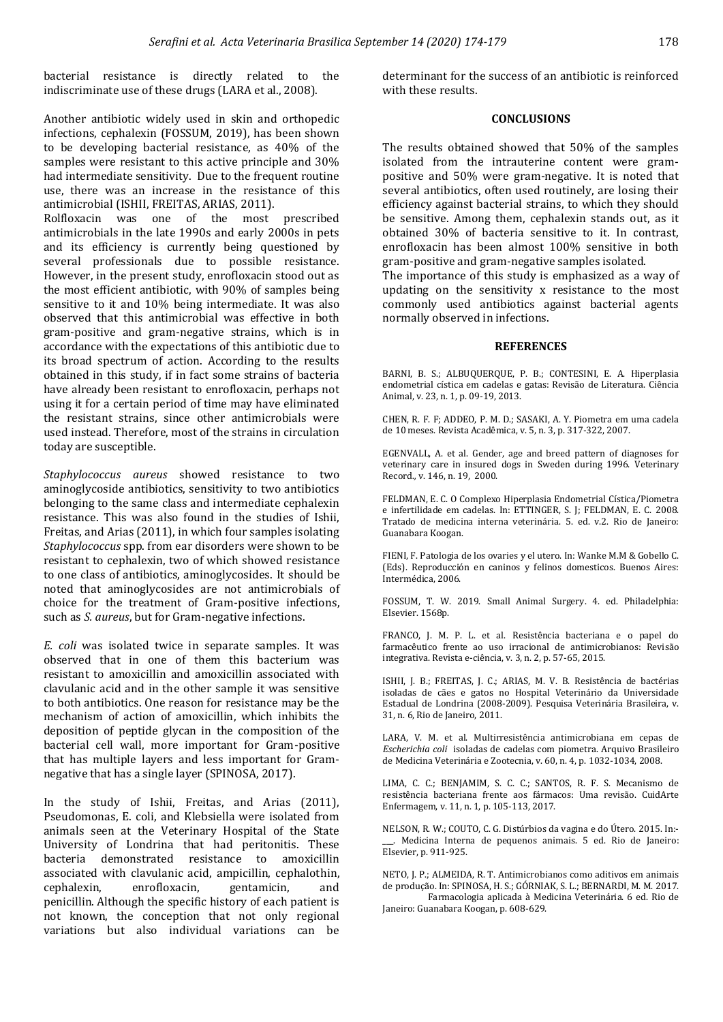bacterial resistance is directly related to the indiscriminate use of these drugs (LARA et al., 2008).

Another antibiotic widely used in skin and orthopedic infections, cephalexin (FOSSUM, 2019), has been shown to be developing bacterial resistance, as 40% of the samples were resistant to this active principle and 30% had intermediate sensitivity. Due to the frequent routine use, there was an increase in the resistance of this antimicrobial (ISHII, FREITAS, ARIAS, 2011).

Rolfloxacin was one of the most prescribed antimicrobials in the late 1990s and early 2000s in pets and its efficiency is currently being questioned by several professionals due to possible resistance. However, in the present study, enrofloxacin stood out as the most efficient antibiotic, with 90% of samples being sensitive to it and 10% being intermediate. It was also observed that this antimicrobial was effective in both gram-positive and gram-negative strains, which is in accordance with the expectations of this antibiotic due to its broad spectrum of action. According to the results obtained in this study, if in fact some strains of bacteria have already been resistant to enrofloxacin, perhaps not using it for a certain period of time may have eliminated the resistant strains, since other antimicrobials were used instead. Therefore, most of the strains in circulation today are susceptible.

*Staphylococcus aureus* showed resistance to two aminoglycoside antibiotics, sensitivity to two antibiotics belonging to the same class and intermediate cephalexin resistance. This was also found in the studies of Ishii, Freitas, and Arias (2011), in which four samples isolating *Staphylococcus* spp. from ear disorders were shown to be resistant to cephalexin, two of which showed resistance to one class of antibiotics, aminoglycosides. It should be noted that aminoglycosides are not antimicrobials of choice for the treatment of Gram-positive infections, such as *S. aureus*, but for Gram-negative infections.

*E. coli* was isolated twice in separate samples. It was observed that in one of them this bacterium was resistant to amoxicillin and amoxicillin associated with clavulanic acid and in the other sample it was sensitive to both antibiotics. One reason for resistance may be the mechanism of action of amoxicillin, which inhibits the deposition of peptide glycan in the composition of the bacterial cell wall, more important for Gram-positive that has multiple layers and less important for Gramnegative that has a single layer (SPINOSA, 2017).

In the study of Ishii, Freitas, and Arias (2011), Pseudomonas, E. coli, and Klebsiella were isolated from animals seen at the Veterinary Hospital of the State University of Londrina that had peritonitis. These bacteria demonstrated resistance to amoxicillin associated with clavulanic acid, ampicillin, cephalothin, cephalexin, enrofloxacin, gentamicin, and penicillin. Although the specific history of each patient is not known, the conception that not only regional variations but also individual variations can be determinant for the success of an antibiotic is reinforced with these results.

### **CONCLUSIONS**

The results obtained showed that 50% of the samples isolated from the intrauterine content were grampositive and 50% were gram-negative. It is noted that several antibiotics, often used routinely, are losing their efficiency against bacterial strains, to which they should be sensitive. Among them, cephalexin stands out, as it obtained 30% of bacteria sensitive to it. In contrast, enrofloxacin has been almost 100% sensitive in both gram-positive and gram-negative samples isolated.

The importance of this study is emphasized as a way of updating on the sensitivity x resistance to the most commonly used antibiotics against bacterial agents normally observed in infections.

#### **REFERENCES**

BARNI, B. S.; ALBUQUERQUE, P. B.; CONTESINI, E. A. Hiperplasia endometrial cística em cadelas e gatas: Revisão de Literatura. Ciência Animal, v. 23, n. 1, p. 09-19, 2013.

CHEN, R. F. F; ADDEO, P. M. D.; SASAKI, A. Y. Piometra em uma cadela de 10 meses. Revista Acadêmica, v. 5, n. 3, p. 317-322, 2007.

EGENVALL, A. et al. Gender, age and breed pattern of diagnoses for veterinary care in insured dogs in Sweden during 1996. Veterinary Record*.,* v. 146, n. 19, 2000.

FELDMAN, E. C. O Complexo Hiperplasia Endometrial Cística/Piometra e infertilidade em cadelas. In: ETTINGER, S. J; FELDMAN, E. C. 2008. Tratado de medicina interna veterinária. 5. ed. v.2. Rio de Janeiro: Guanabara Koogan.

FIENI, F. Patologia de los ovaries y el utero. In: Wanke M.M & Gobello C. (Eds). Reproducción en caninos y felinos domesticos. Buenos Aires: Intermédica, 2006.

FOSSUM, T. W. 2019. Small Animal Surgery. 4. ed. Philadelphia: Elsevier. 1568p.

FRANCO, J. M. P. L. et al. Resistência bacteriana e o papel do farmacêutico frente ao uso irracional de antimicrobianos: Revisão integrativa. Revista e-ciência, v. 3, n. 2, p. 57-65, 2015.

ISHII, J. B.; FREITAS, J. C.; ARIAS, M. V. B. Resistência de bactérias isoladas de cães e gatos no Hospital Veterinário da Universidade Estadual de Londrina (2008-2009). Pesquisa Veterinária Brasileira, v. 31, n. 6, Rio de Janeiro, 2011.

LARA, V. M. et al. Multirresistência antimicrobiana em cepas de *Escherichia coli* isoladas de cadelas com piometra. Arquivo Brasileiro de Medicina Veterinária e Zootecnia, v. 60, n. 4, p. 1032-1034, 2008.

LIMA, C. C.; BENJAMIM, S. C. C.; SANTOS, R. F. S. Mecanismo de resistência bacteriana frente aos fármacos: Uma revisão. CuidArte Enfermagem, v. 11, n. 1, p. 105-113, 2017.

NELSON, R. W.; COUTO, C. G. Distúrbios da vagina e do Útero. 2015. In:- \_\_\_. Medicina Interna de pequenos animais. 5 ed. Rio de Janeiro: Elsevier, p. 911-925.

NETO, J. P.; ALMEIDA, R. T. Antimicrobianos como aditivos em animais de produção. In: SPINOSA, H. S.; GÓRNIAK, S. L.; BERNARDI, M. M. 2017.

Farmacologia aplicada à Medicina Veterinária. 6 ed. Rio de Janeiro: Guanabara Koogan, p. 608-629.